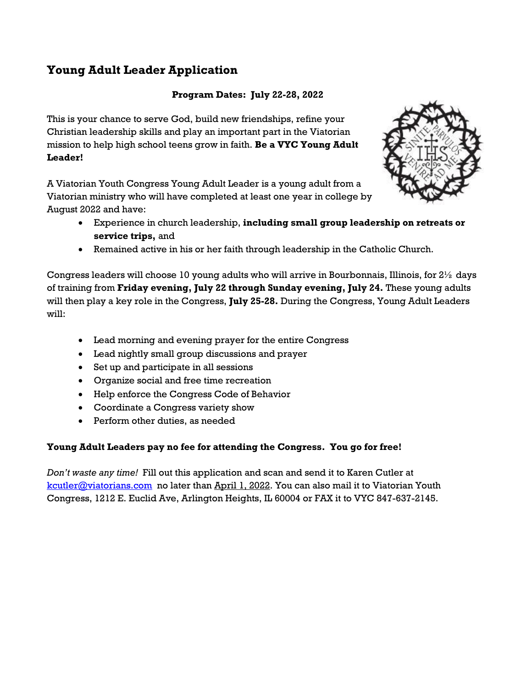# **Young Adult Leader Application**

#### **Program Dates: July 22-28, 2022**

This is your chance to serve God, build new friendships, refine your Christian leadership skills and play an important part in the Viatorian mission to help high school teens grow in faith. **Be a VYC Young Adult Leader!**

A Viatorian Youth Congress Young Adult Leader is a young adult from a Viatorian ministry who will have completed at least one year in college by August 2022 and have:



- Experience in church leadership, **including small group leadership on retreats or service trips,** and
- Remained active in his or her faith through leadership in the Catholic Church.

Congress leaders will choose 10 young adults who will arrive in Bourbonnais, Illinois, for  $2\frac{1}{2}$  days of training from **Friday evening, July 22 through Sunday evening, July 24.** These young adults will then play a key role in the Congress, **July 25-28.** During the Congress, Young Adult Leaders will:

- Lead morning and evening prayer for the entire Congress
- Lead nightly small group discussions and prayer
- Set up and participate in all sessions
- Organize social and free time recreation
- Help enforce the Congress Code of Behavior
- Coordinate a Congress variety show
- Perform other duties, as needed

#### **Young Adult Leaders pay no fee for attending the Congress. You go for free!**

*Don't waste any time!* Fill out this application and scan and send it to Karen Cutler at [kcutler@viatorians.com](mailto:kcutler@viatorians.com) no later than April 1, 2022. You can also mail it to Viatorian Youth Congress, 1212 E. Euclid Ave, Arlington Heights, IL 60004 or FAX it to VYC 847-637-2145.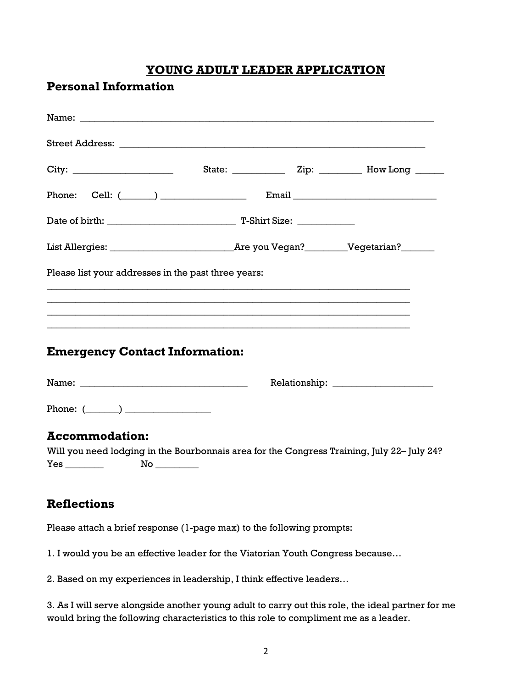## **YOUNG ADULT LEADER APPLICATION**

#### **Personal Information**

| Name: Name:                                                                                                       |                                                                                  |  |  |  |
|-------------------------------------------------------------------------------------------------------------------|----------------------------------------------------------------------------------|--|--|--|
|                                                                                                                   |                                                                                  |  |  |  |
|                                                                                                                   |                                                                                  |  |  |  |
|                                                                                                                   |                                                                                  |  |  |  |
|                                                                                                                   |                                                                                  |  |  |  |
|                                                                                                                   |                                                                                  |  |  |  |
| Please list your addresses in the past three years:                                                               |                                                                                  |  |  |  |
|                                                                                                                   | ,我们也不能在这里的时候,我们也不能在这里的时候,我们也不能不能不能不能不能不能不能不能不能不能不能不能不能。""我们,我们也不能不能不能不能不能不能不能不能不 |  |  |  |
|                                                                                                                   |                                                                                  |  |  |  |
| <b>Emergency Contact Information:</b>                                                                             |                                                                                  |  |  |  |
|                                                                                                                   |                                                                                  |  |  |  |
| Phone: $(\_\_)$                                                                                                   |                                                                                  |  |  |  |
| <b>Accommodation:</b>                                                                                             |                                                                                  |  |  |  |
| Will you need lodging in the Bourbonnais area for the Congress Training, July 22-July 24?<br><b>Yes _________</b> |                                                                                  |  |  |  |
| <b>Reflections</b>                                                                                                |                                                                                  |  |  |  |
|                                                                                                                   |                                                                                  |  |  |  |

Please attach a brief response (1-page max) to the following prompts:

1. I would you be an effective leader for the Viatorian Youth Congress because…

2. Based on my experiences in leadership, I think effective leaders…

3. As I will serve alongside another young adult to carry out this role, the ideal partner for me would bring the following characteristics to this role to compliment me as a leader.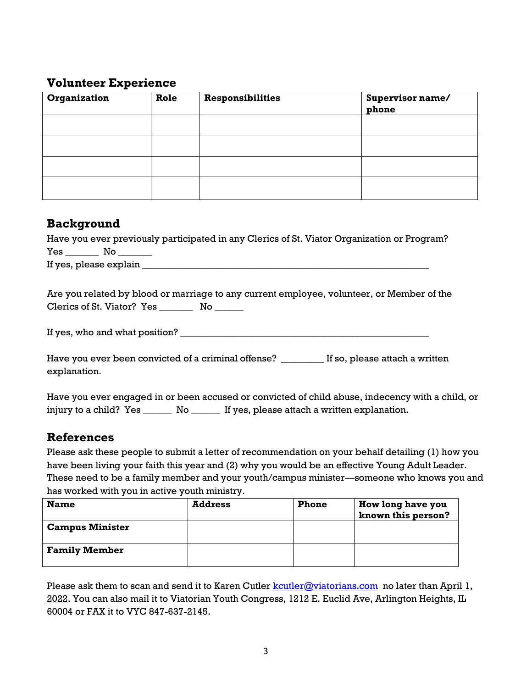### **Volunteer Experience**

| Organization | Role | <b>Responsibilities</b> | Supervisor name/<br>phone |
|--------------|------|-------------------------|---------------------------|
|              |      |                         |                           |
|              |      |                         |                           |
|              |      |                         |                           |
|              |      |                         |                           |

### **Background**

|                        | Have you ever previously participated in any Clerics of St. Viator Organization or Program? |
|------------------------|---------------------------------------------------------------------------------------------|
| <b>Yes</b><br>No. No   |                                                                                             |
| If yes, please explain |                                                                                             |

Are you related by blood or marriage to any current employee, volunteer, or Member of the Clerics of St. Viator? Yes \_\_\_\_\_\_\_\_\_ No \_\_\_\_\_\_

If yes, who and what position? \_\_\_\_\_\_\_\_\_\_\_\_\_\_\_\_\_\_\_\_\_\_\_\_\_\_\_\_\_\_\_\_\_\_\_\_\_\_\_\_\_\_\_\_\_\_\_\_\_\_\_\_

Have you ever been convicted of a criminal offense? \_\_\_\_\_\_\_\_\_ If so, please attach a written explanation.

Have you ever engaged in or been accused or convicted of child abuse, indecency with a child, or injury to a child? Yes \_\_\_\_\_\_\_ No \_\_\_\_\_\_ If yes, please attach a written explanation.

# **References**

Please ask these people to submit a letter of recommendation on your behalf detailing (1) how you have been living your faith this year and (2) why you would be an effective Young Adult Leader. These need to be a family member and your youth/campus minister—someone who knows you and has worked with you in active youth ministry.

| <b>Name</b>            | <b>Address</b> | <b>Phone</b> | How long have you<br>known this person? |
|------------------------|----------------|--------------|-----------------------------------------|
| <b>Campus Minister</b> |                |              |                                         |
| <b>Family Member</b>   |                |              |                                         |

Please ask them to scan and send it to Karen Cutler  $kcutler@viatorians.com$  no later than April 1, 2022. You can also mail it to Viatorian Youth Congress, 1212 E. Euclid Ave, Arlington Heights, IL 60004 or FAX it to VYC 847-637-2145.